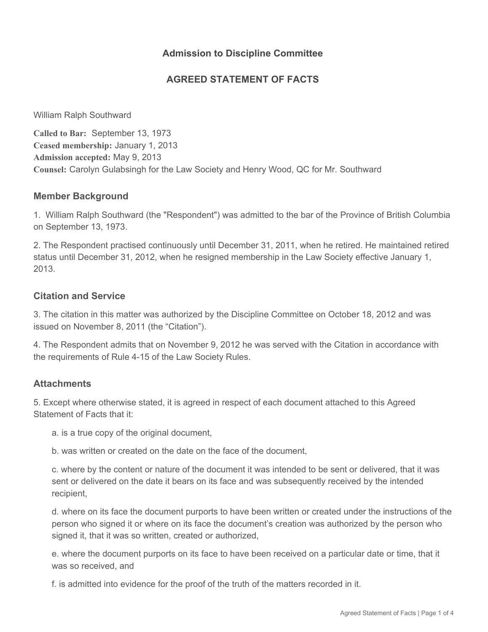## **Admission to Discipline Committee**

## **AGREED STATEMENT OF FACTS**

William Ralph Southward

**Called to Bar:** September 13, 1973 **Ceased membership:** January 1, 2013 **Admission accepted:** May 9, 2013 **Counsel:** Carolyn Gulabsingh for the Law Society and Henry Wood, QC for Mr. Southward

### **Member Background**

1. William Ralph Southward (the "Respondent") was admitted to the bar of the Province of British Columbia on September 13, 1973.

2. The Respondent practised continuously until December 31, 2011, when he retired. He maintained retired status until December 31, 2012, when he resigned membership in the Law Society effective January 1, 2013.

### **Citation and Service**

3. The citation in this matter was authorized by the Discipline Committee on October 18, 2012 and was issued on November 8, 2011 (the "Citation").

4. The Respondent admits that on November 9, 2012 he was served with the Citation in accordance with the requirements of Rule 4-15 of the Law Society Rules.

## **Attachments**

5. Except where otherwise stated, it is agreed in respect of each document attached to this Agreed Statement of Facts that it:

a. is a true copy of the original document,

b. was written or created on the date on the face of the document,

c. where by the content or nature of the document it was intended to be sent or delivered, that it was sent or delivered on the date it bears on its face and was subsequently received by the intended recipient,

d. where on its face the document purports to have been written or created under the instructions of the person who signed it or where on its face the document's creation was authorized by the person who signed it, that it was so written, created or authorized,

e. where the document purports on its face to have been received on a particular date or time, that it was so received, and

f. is admitted into evidence for the proof of the truth of the matters recorded in it.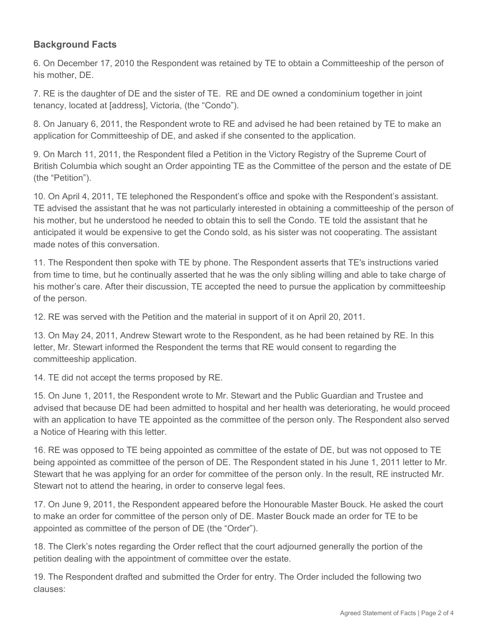# **Background Facts**

6. On December 17, 2010 the Respondent was retained by TE to obtain a Committeeship of the person of his mother, DE.

7. RE is the daughter of DE and the sister of TE. RE and DE owned a condominium together in joint tenancy, located at [address], Victoria, (the "Condo").

8. On January 6, 2011, the Respondent wrote to RE and advised he had been retained by TE to make an application for Committeeship of DE, and asked if she consented to the application.

9. On March 11, 2011, the Respondent filed a Petition in the Victory Registry of the Supreme Court of British Columbia which sought an Order appointing TE as the Committee of the person and the estate of DE (the "Petition").

10. On April 4, 2011, TE telephoned the Respondent's office and spoke with the Respondent's assistant. TE advised the assistant that he was not particularly interested in obtaining a committeeship of the person of his mother, but he understood he needed to obtain this to sell the Condo. TE told the assistant that he anticipated it would be expensive to get the Condo sold, as his sister was not cooperating. The assistant made notes of this conversation.

11. The Respondent then spoke with TE by phone. The Respondent asserts that TE's instructions varied from time to time, but he continually asserted that he was the only sibling willing and able to take charge of his mother's care. After their discussion, TE accepted the need to pursue the application by committeeship of the person.

12. RE was served with the Petition and the material in support of it on April 20, 2011.

13. On May 24, 2011, Andrew Stewart wrote to the Respondent, as he had been retained by RE. In this letter, Mr. Stewart informed the Respondent the terms that RE would consent to regarding the committeeship application.

14. TE did not accept the terms proposed by RE.

15. On June 1, 2011, the Respondent wrote to Mr. Stewart and the Public Guardian and Trustee and advised that because DE had been admitted to hospital and her health was deteriorating, he would proceed with an application to have TE appointed as the committee of the person only. The Respondent also served a Notice of Hearing with this letter.

16. RE was opposed to TE being appointed as committee of the estate of DE, but was not opposed to TE being appointed as committee of the person of DE. The Respondent stated in his June 1, 2011 letter to Mr. Stewart that he was applying for an order for committee of the person only. In the result, RE instructed Mr. Stewart not to attend the hearing, in order to conserve legal fees.

17. On June 9, 2011, the Respondent appeared before the Honourable Master Bouck. He asked the court to make an order for committee of the person only of DE. Master Bouck made an order for TE to be appointed as committee of the person of DE (the "Order").

18. The Clerk's notes regarding the Order reflect that the court adjourned generally the portion of the petition dealing with the appointment of committee over the estate.

19. The Respondent drafted and submitted the Order for entry. The Order included the following two clauses: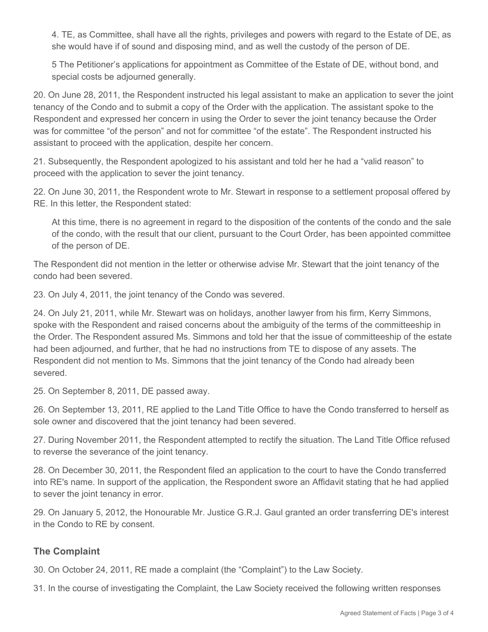4. TE, as Committee, shall have all the rights, privileges and powers with regard to the Estate of DE, as she would have if of sound and disposing mind, and as well the custody of the person of DE.

5 The Petitioner's applications for appointment as Committee of the Estate of DE, without bond, and special costs be adjourned generally.

20. On June 28, 2011, the Respondent instructed his legal assistant to make an application to sever the joint tenancy of the Condo and to submit a copy of the Order with the application. The assistant spoke to the Respondent and expressed her concern in using the Order to sever the joint tenancy because the Order was for committee "of the person" and not for committee "of the estate". The Respondent instructed his assistant to proceed with the application, despite her concern.

21. Subsequently, the Respondent apologized to his assistant and told her he had a "valid reason" to proceed with the application to sever the joint tenancy.

22. On June 30, 2011, the Respondent wrote to Mr. Stewart in response to a settlement proposal offered by RE. In this letter, the Respondent stated:

At this time, there is no agreement in regard to the disposition of the contents of the condo and the sale of the condo, with the result that our client, pursuant to the Court Order, has been appointed committee of the person of DE.

The Respondent did not mention in the letter or otherwise advise Mr. Stewart that the joint tenancy of the condo had been severed.

23. On July 4, 2011, the joint tenancy of the Condo was severed.

24. On July 21, 2011, while Mr. Stewart was on holidays, another lawyer from his firm, Kerry Simmons, spoke with the Respondent and raised concerns about the ambiguity of the terms of the committeeship in the Order. The Respondent assured Ms. Simmons and told her that the issue of committeeship of the estate had been adjourned, and further, that he had no instructions from TE to dispose of any assets. The Respondent did not mention to Ms. Simmons that the joint tenancy of the Condo had already been severed.

25. On September 8, 2011, DE passed away.

26. On September 13, 2011, RE applied to the Land Title Office to have the Condo transferred to herself as sole owner and discovered that the joint tenancy had been severed.

27. During November 2011, the Respondent attempted to rectify the situation. The Land Title Office refused to reverse the severance of the joint tenancy.

28. On December 30, 2011, the Respondent filed an application to the court to have the Condo transferred into RE's name. In support of the application, the Respondent swore an Affidavit stating that he had applied to sever the joint tenancy in error.

29. On January 5, 2012, the Honourable Mr. Justice G.R.J. Gaul granted an order transferring DE's interest in the Condo to RE by consent.

# **The Complaint**

30. On October 24, 2011, RE made a complaint (the "Complaint") to the Law Society.

31. In the course of investigating the Complaint, the Law Society received the following written responses